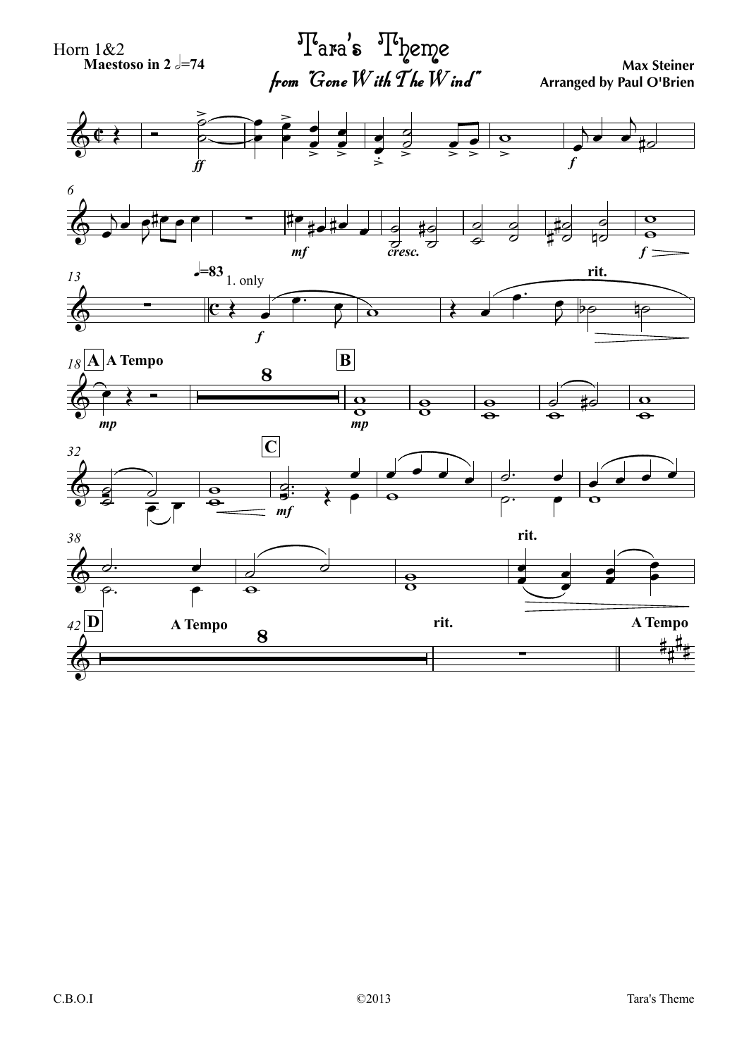